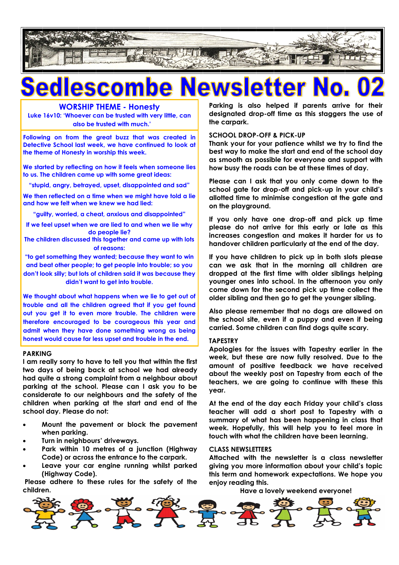

### **WORSHIP THEME - Honesty**

**Luke 16v10: 'Whoever can be trusted with very little, can also be trusted with much.'**

**Following on from the great buzz that was created in Detective School last week, we have continued to look at the theme of Honesty in worship this week.**

**We started by reflecting on how it feels when someone lies to us. The children came up with some great ideas:**

**"stupid, angry, betrayed, upset, disappointed and sad"**

**We then reflected on a time when we might have told a lie and how we felt when we knew we had lied:**

**"guilty, worried, a cheat, anxious and disappointed"**

**If we feel upset when we are lied to and when we lie why do people lie?**

**The children discussed this together and came up with lots of reasons:**

**"to get something they wanted; because they want to win and beat other people; to get people into trouble; so you don't look silly; but lots of children said it was because they didn't want to get into trouble.**

**We thought about what happens when we lie to get out of trouble and all the children agreed that if you get found out you get it to even more trouble. The children were therefore encouraged to be courageous this year and admit when they have done something wrong as being honest would cause far less upset and trouble in the end.** 

### **PARKING**

**I am really sorry to have to tell you that within the first two days of being back at school we had already had quite a strong complaint from a neighbour about parking at the school. Please can I ask you to be considerate to our neighbours and the safety of the children when parking at the start and end of the school day. Please do not:**

- **Mount the pavement or block the pavement when parking.**
- **Turn in neighbours' driveways.**
- **Park within 10 metres of a junction (Highway Code) or across the entrance to the carpark.**
- **Leave your car engine running whilst parked (Highway Code).**

**Please adhere to these rules for the safety of the children.**

**Parking is also helped if parents arrive for their designated drop-off time as this staggers the use of the carpark.**

### **SCHOOL DROP-OFF & PICK-UP**

**Thank your for your patience whilst we try to find the best way to make the start and end of the school day as smooth as possible for everyone and support with how busy the roads can be at these times of day.**

**Please can I ask that you only come down to the school gate for drop-off and pick-up in your child's allotted time to minimise congestion at the gate and on the playground.**

**If you only have one drop-off and pick up time please do not arrive for this early or late as this increases congestion and makes it harder for us to handover children particularly at the end of the day.**

**If you have children to pick up in both slots please can we ask that in the morning all children are dropped at the first time with older siblings helping younger ones into school. In the afternoon you only come down for the second pick up time collect the older sibling and then go to get the younger sibling.**

**Also please remember that no dogs are allowed on the school site, even if a puppy and even if being carried. Some children can find dogs quite scary.**

### **TAPESTRY**

**Apologies for the issues with Tapestry earlier in the week, but these are now fully resolved. Due to the amount of positive feedback we have received about the weekly post on Tapestry from each of the teachers, we are going to continue with these this year.** 

**At the end of the day each Friday your child's class teacher will add a short post to Tapestry with a summary of what has been happening in class that week. Hopefully, this will help you to feel more in touch with what the children have been learning.**

### **CLASS NEWSLETTERS**

**Attached with the newsletter is a class newsletter giving you more information about your child's topic this term and homework expectations. We hope you enjoy reading this.**

**Have a lovely weekend everyone!**